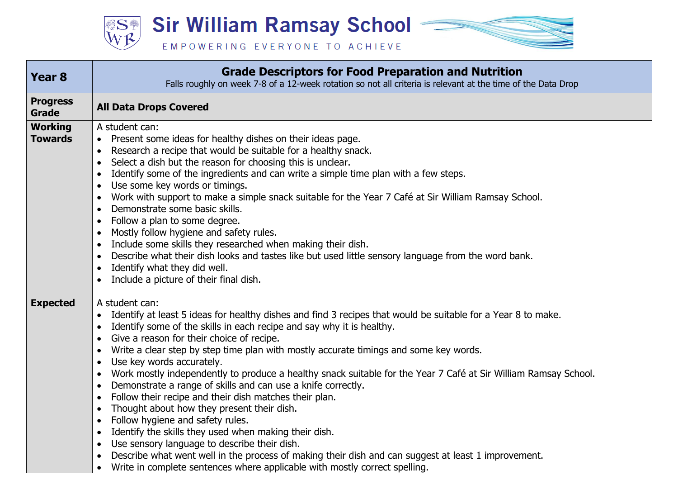**Sir William Ramsay School William SSA** EMPOWERING EVERYONE TO ACHIEVE

| <b>Year 8</b>                    | <b>Grade Descriptors for Food Preparation and Nutrition</b><br>Falls roughly on week 7-8 of a 12-week rotation so not all criteria is relevant at the time of the Data Drop                                                                                                                                                                                                                                                                                                                                                                                                                                                                                                                                                                                                                                                                                                                                                                                                                                                                                                                                     |
|----------------------------------|-----------------------------------------------------------------------------------------------------------------------------------------------------------------------------------------------------------------------------------------------------------------------------------------------------------------------------------------------------------------------------------------------------------------------------------------------------------------------------------------------------------------------------------------------------------------------------------------------------------------------------------------------------------------------------------------------------------------------------------------------------------------------------------------------------------------------------------------------------------------------------------------------------------------------------------------------------------------------------------------------------------------------------------------------------------------------------------------------------------------|
| <b>Progress</b><br><b>Grade</b>  | <b>All Data Drops Covered</b>                                                                                                                                                                                                                                                                                                                                                                                                                                                                                                                                                                                                                                                                                                                                                                                                                                                                                                                                                                                                                                                                                   |
| <b>Working</b><br><b>Towards</b> | A student can:<br>Present some ideas for healthy dishes on their ideas page.<br>Research a recipe that would be suitable for a healthy snack.<br>$\bullet$<br>Select a dish but the reason for choosing this is unclear.<br>Identify some of the ingredients and can write a simple time plan with a few steps.<br>$\bullet$<br>Use some key words or timings.<br>Work with support to make a simple snack suitable for the Year 7 Café at Sir William Ramsay School.<br>Demonstrate some basic skills.<br>Follow a plan to some degree.<br>Mostly follow hygiene and safety rules.<br>Include some skills they researched when making their dish.<br>Describe what their dish looks and tastes like but used little sensory language from the word bank.<br>Identify what they did well.<br>$\bullet$<br>Include a picture of their final dish.                                                                                                                                                                                                                                                                |
| <b>Expected</b>                  | A student can:<br>Identify at least 5 ideas for healthy dishes and find 3 recipes that would be suitable for a Year 8 to make.<br>$\bullet$<br>Identify some of the skills in each recipe and say why it is healthy.<br>Give a reason for their choice of recipe.<br>Write a clear step by step time plan with mostly accurate timings and some key words.<br>Use key words accurately.<br>$\bullet$<br>Work mostly independently to produce a healthy snack suitable for the Year 7 Café at Sir William Ramsay School.<br>$\bullet$<br>Demonstrate a range of skills and can use a knife correctly.<br>$\bullet$<br>Follow their recipe and their dish matches their plan.<br>Thought about how they present their dish.<br>$\bullet$<br>Follow hygiene and safety rules.<br>Identify the skills they used when making their dish.<br>$\bullet$<br>Use sensory language to describe their dish.<br>$\bullet$<br>Describe what went well in the process of making their dish and can suggest at least 1 improvement.<br>Write in complete sentences where applicable with mostly correct spelling.<br>$\bullet$ |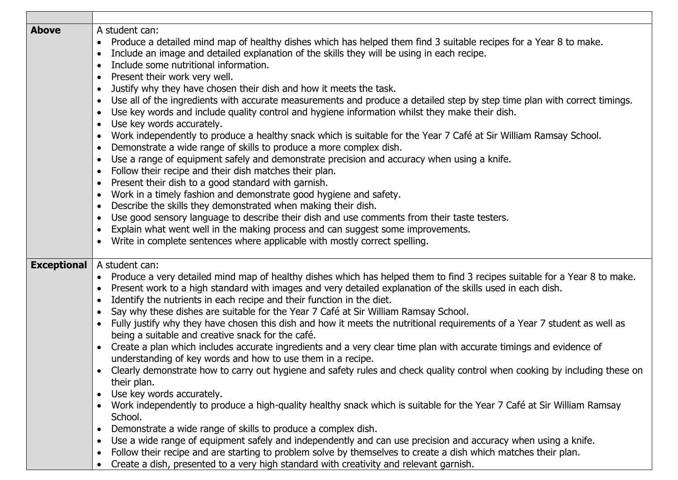| <b>Above</b>       | A student can:                                                                                                                                                                                                                                                                                                            |
|--------------------|---------------------------------------------------------------------------------------------------------------------------------------------------------------------------------------------------------------------------------------------------------------------------------------------------------------------------|
|                    | Produce a detailed mind map of healthy dishes which has helped them find 3 suitable recipes for a Year 8 to make.<br>$\bullet$                                                                                                                                                                                            |
|                    | Include an image and detailed explanation of the skills they will be using in each recipe.<br>$\bullet$                                                                                                                                                                                                                   |
|                    | Include some nutritional information.<br>$\bullet$                                                                                                                                                                                                                                                                        |
|                    | Present their work very well.<br>$\bullet$                                                                                                                                                                                                                                                                                |
|                    | Justify why they have chosen their dish and how it meets the task.<br>$\bullet$                                                                                                                                                                                                                                           |
|                    | Use all of the ingredients with accurate measurements and produce a detailed step by step time plan with correct timings.<br>$\bullet$                                                                                                                                                                                    |
|                    | Use key words and include quality control and hygiene information whilst they make their dish.<br>$\bullet$                                                                                                                                                                                                               |
|                    | Use key words accurately.<br>$\bullet$                                                                                                                                                                                                                                                                                    |
|                    | Work independently to produce a healthy snack which is suitable for the Year 7 Café at Sir William Ramsay School.<br>$\bullet$                                                                                                                                                                                            |
|                    | Demonstrate a wide range of skills to produce a more complex dish.<br>$\bullet$                                                                                                                                                                                                                                           |
|                    | Use a range of equipment safely and demonstrate precision and accuracy when using a knife.<br>$\bullet$                                                                                                                                                                                                                   |
|                    | Follow their recipe and their dish matches their plan.<br>$\bullet$                                                                                                                                                                                                                                                       |
|                    | Present their dish to a good standard with garnish.<br>$\bullet$                                                                                                                                                                                                                                                          |
|                    | Work in a timely fashion and demonstrate good hygiene and safety.<br>$\bullet$                                                                                                                                                                                                                                            |
|                    | Describe the skills they demonstrated when making their dish.<br>$\bullet$                                                                                                                                                                                                                                                |
|                    | Use good sensory language to describe their dish and use comments from their taste testers.<br>$\bullet$                                                                                                                                                                                                                  |
|                    | Explain what went well in the making process and can suggest some improvements.<br>$\bullet$                                                                                                                                                                                                                              |
|                    | Write in complete sentences where applicable with mostly correct spelling.<br>$\bullet$                                                                                                                                                                                                                                   |
|                    |                                                                                                                                                                                                                                                                                                                           |
| <b>Exceptional</b> | A student can:                                                                                                                                                                                                                                                                                                            |
|                    | Produce a very detailed mind map of healthy dishes which has helped them to find 3 recipes suitable for a Year 8 to make.<br>$\bullet$                                                                                                                                                                                    |
|                    | Present work to a high standard with images and very detailed explanation of the skills used in each dish.<br>$\bullet$                                                                                                                                                                                                   |
|                    | Identify the nutrients in each recipe and their function in the diet.<br>$\bullet$                                                                                                                                                                                                                                        |
|                    | Say why these dishes are suitable for the Year 7 Café at Sir William Ramsay School.<br>$\bullet$                                                                                                                                                                                                                          |
|                    | Fully justify why they have chosen this dish and how it meets the nutritional requirements of a Year 7 student as well as<br>$\bullet$                                                                                                                                                                                    |
|                    | being a suitable and creative snack for the café.                                                                                                                                                                                                                                                                         |
|                    | Create a plan which includes accurate ingredients and a very clear time plan with accurate timings and evidence of<br>$\bullet$                                                                                                                                                                                           |
|                    | understanding of key words and how to use them in a recipe.                                                                                                                                                                                                                                                               |
|                    | Clearly demonstrate how to carry out hygiene and safety rules and check quality control when cooking by including these on<br>$\bullet$                                                                                                                                                                                   |
|                    | their plan.                                                                                                                                                                                                                                                                                                               |
|                    | Use key words accurately.<br>٠                                                                                                                                                                                                                                                                                            |
|                    | Work independently to produce a high-quality healthy snack which is suitable for the Year 7 Café at Sir William Ramsay<br>$\bullet$                                                                                                                                                                                       |
|                    | School.                                                                                                                                                                                                                                                                                                                   |
|                    | Demonstrate a wide range of skills to produce a complex dish.<br>$\bullet$                                                                                                                                                                                                                                                |
|                    | $\bullet$                                                                                                                                                                                                                                                                                                                 |
|                    | $\bullet$                                                                                                                                                                                                                                                                                                                 |
|                    | $\bullet$                                                                                                                                                                                                                                                                                                                 |
|                    | Use a wide range of equipment safely and independently and can use precision and accuracy when using a knife.<br>Follow their recipe and are starting to problem solve by themselves to create a dish which matches their plan.<br>Create a dish, presented to a very high standard with creativity and relevant garnish. |